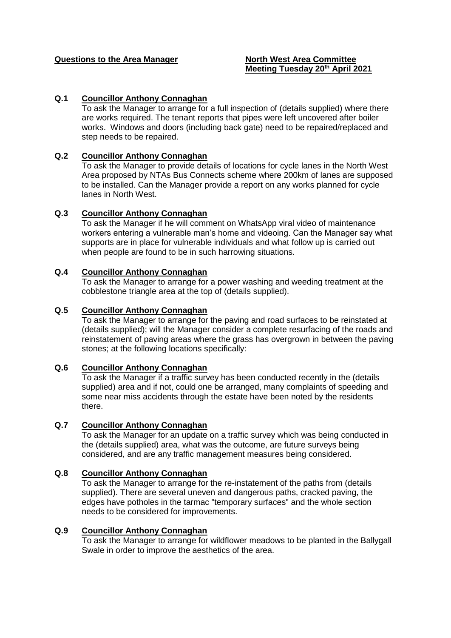## **Questions to the Area Manager North West Area Committee**

# **Meeting Tuesday 20th April 2021**

# **Q.1 Councillor Anthony Connaghan**

To ask the Manager to arrange for a full inspection of (details supplied) where there are works required. The tenant reports that pipes were left uncovered after boiler works. Windows and doors (including back gate) need to be repaired/replaced and step needs to be repaired.

#### **Q.2 Councillor Anthony Connaghan**

To ask the Manager to provide details of locations for cycle lanes in the North West Area proposed by NTAs Bus Connects scheme where 200km of lanes are supposed to be installed. Can the Manager provide a report on any works planned for cycle lanes in North West.

#### **Q.3 Councillor Anthony Connaghan**

To ask the Manager if he will comment on WhatsApp viral video of maintenance workers entering a vulnerable man's home and videoing. Can the Manager say what supports are in place for vulnerable individuals and what follow up is carried out when people are found to be in such harrowing situations.

#### **Q.4 Councillor Anthony Connaghan**

To ask the Manager to arrange for a power washing and weeding treatment at the cobblestone triangle area at the top of (details supplied).

#### **Q.5 Councillor Anthony Connaghan**

To ask the Manager to arrange for the paving and road surfaces to be reinstated at (details supplied); will the Manager consider a complete resurfacing of the roads and reinstatement of paving areas where the grass has overgrown in between the paving stones; at the following locations specifically:

#### **Q.6 Councillor Anthony Connaghan**

To ask the Manager if a traffic survey has been conducted recently in the (details supplied) area and if not, could one be arranged, many complaints of speeding and some near miss accidents through the estate have been noted by the residents there.

#### **Q.7 Councillor Anthony Connaghan**

To ask the Manager for an update on a traffic survey which was being conducted in the (details supplied) area, what was the outcome, are future surveys being considered, and are any traffic management measures being considered.

#### **Q.8 Councillor Anthony Connaghan**

To ask the Manager to arrange for the re-instatement of the paths from (details supplied). There are several uneven and dangerous paths, cracked paving, the edges have potholes in the tarmac "temporary surfaces" and the whole section needs to be considered for improvements.

#### **Q.9 Councillor Anthony Connaghan**

To ask the Manager to arrange for wildflower meadows to be planted in the Ballygall Swale in order to improve the aesthetics of the area.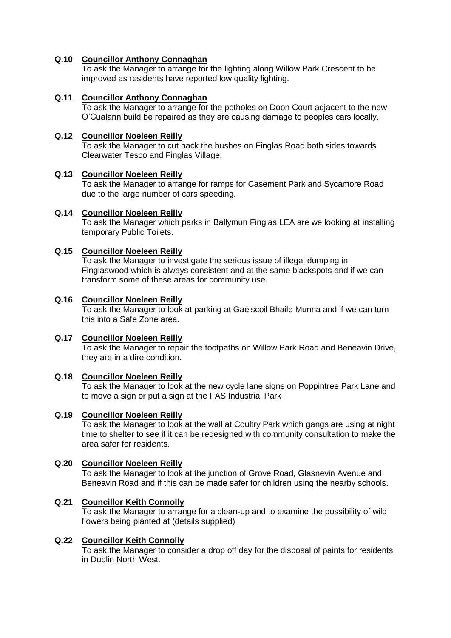# **Q.10 Councillor Anthony Connaghan**

To ask the Manager to arrange for the lighting along Willow Park Crescent to be improved as residents have reported low quality lighting.

# **Q.11 Councillor Anthony Connaghan**

To ask the Manager to arrange for the potholes on Doon Court adjacent to the new O'Cualann build be repaired as they are causing damage to peoples cars locally.

# **Q.12 Councillor Noeleen Reilly**

To ask the Manager to cut back the bushes on Finglas Road both sides towards Clearwater Tesco and Finglas Village.

## **Q.13 Councillor Noeleen Reilly**

To ask the Manager to arrange for ramps for Casement Park and Sycamore Road due to the large number of cars speeding.

# **Q.14 Councillor Noeleen Reilly**

To ask the Manager which parks in Ballymun Finglas LEA are we looking at installing temporary Public Toilets.

# **Q.15 Councillor Noeleen Reilly**

To ask the Manager to investigate the serious issue of illegal dumping in Finglaswood which is always consistent and at the same blackspots and if we can transform some of these areas for community use.

## **Q.16 Councillor Noeleen Reilly**

To ask the Manager to look at parking at Gaelscoil Bhaile Munna and if we can turn this into a Safe Zone area.

## **Q.17 Councillor Noeleen Reilly**

To ask the Manager to repair the footpaths on Willow Park Road and Beneavin Drive, they are in a dire condition.

## **Q.18 Councillor Noeleen Reilly**

To ask the Manager to look at the new cycle lane signs on Poppintree Park Lane and to move a sign or put a sign at the FAS Industrial Park

## **Q.19 Councillor Noeleen Reilly**

To ask the Manager to look at the wall at Coultry Park which gangs are using at night time to shelter to see if it can be redesigned with community consultation to make the area safer for residents.

## **Q.20 Councillor Noeleen Reilly**

To ask the Manager to look at the junction of Grove Road, Glasnevin Avenue and Beneavin Road and if this can be made safer for children using the nearby schools.

## **Q.21 Councillor Keith Connolly**

To ask the Manager to arrange for a clean-up and to examine the possibility of wild flowers being planted at (details supplied)

## **Q.22 Councillor Keith Connolly**

To ask the Manager to consider a drop off day for the disposal of paints for residents in Dublin North West.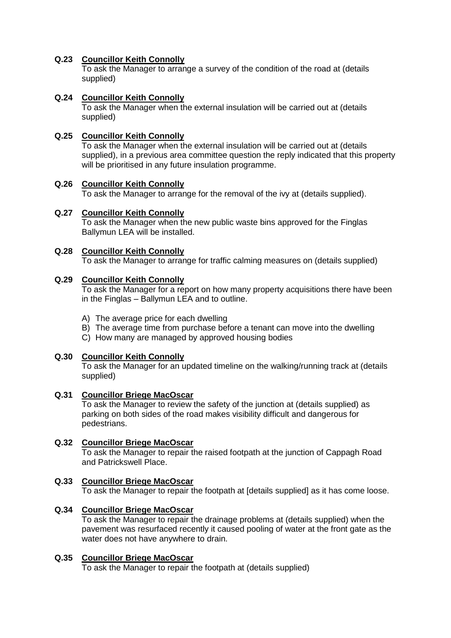# **Q.23 Councillor Keith Connolly**

To ask the Manager to arrange a survey of the condition of the road at (details supplied)

# **Q.24 Councillor Keith Connolly**

To ask the Manager when the external insulation will be carried out at (details supplied)

# **Q.25 Councillor Keith Connolly**

To ask the Manager when the external insulation will be carried out at (details supplied), in a previous area committee question the reply indicated that this property will be prioritised in any future insulation programme.

## **Q.26 Councillor Keith Connolly**

To ask the Manager to arrange for the removal of the ivy at (details supplied).

# **Q.27 Councillor Keith Connolly**

To ask the Manager when the new public waste bins approved for the Finglas Ballymun LEA will be installed.

# **Q.28 Councillor Keith Connolly**

To ask the Manager to arrange for traffic calming measures on (details supplied)

## **Q.29 Councillor Keith Connolly**

To ask the Manager for a report on how many property acquisitions there have been in the Finglas – Ballymun LEA and to outline.

- A) The average price for each dwelling
- B) The average time from purchase before a tenant can move into the dwelling
- C) How many are managed by approved housing bodies

## **Q.30 Councillor Keith Connolly**

To ask the Manager for an updated timeline on the walking/running track at (details supplied)

## **Q.31 Councillor Briege MacOscar**

To ask the Manager to review the safety of the junction at (details supplied) as parking on both sides of the road makes visibility difficult and dangerous for pedestrians.

## **Q.32 Councillor Briege MacOscar**

To ask the Manager to repair the raised footpath at the junction of Cappagh Road and Patrickswell Place.

## **Q.33 Councillor Briege MacOscar**

To ask the Manager to repair the footpath at [details supplied] as it has come loose.

## **Q.34 Councillor Briege MacOscar**

To ask the Manager to repair the drainage problems at (details supplied) when the pavement was resurfaced recently it caused pooling of water at the front gate as the water does not have anywhere to drain.

## **Q.35 Councillor Briege MacOscar**

To ask the Manager to repair the footpath at (details supplied)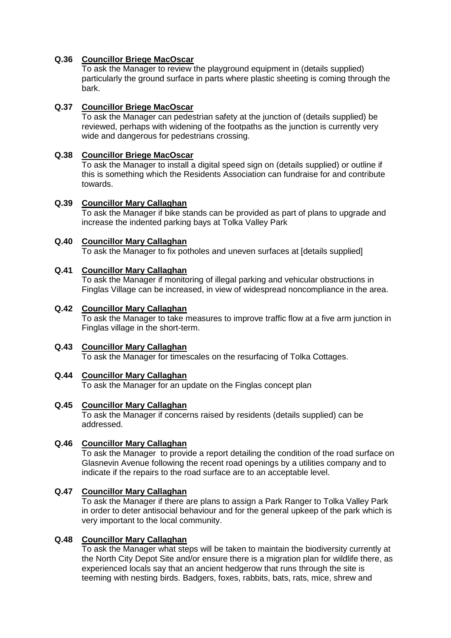# **Q.36 Councillor Briege MacOscar**

To ask the Manager to review the playground equipment in (details supplied) particularly the ground surface in parts where plastic sheeting is coming through the bark.

# **Q.37 Councillor Briege MacOscar**

To ask the Manager can pedestrian safety at the junction of (details supplied) be reviewed, perhaps with widening of the footpaths as the junction is currently very wide and dangerous for pedestrians crossing.

# **Q.38 Councillor Briege MacOscar**

To ask the Manager to install a digital speed sign on (details supplied) or outline if this is something which the Residents Association can fundraise for and contribute towards.

## **Q.39 Councillor Mary Callaghan**

To ask the Manager if bike stands can be provided as part of plans to upgrade and increase the indented parking bays at Tolka Valley Park

# **Q.40 Councillor Mary Callaghan**

To ask the Manager to fix potholes and uneven surfaces at [details supplied]

# **Q.41 Councillor Mary Callaghan**

To ask the Manager if monitoring of illegal parking and vehicular obstructions in Finglas Village can be increased, in view of widespread noncompliance in the area.

## **Q.42 Councillor Mary Callaghan**

To ask the Manager to take measures to improve traffic flow at a five arm junction in Finglas village in the short-term.

# **Q.43 Councillor Mary Callaghan**

To ask the Manager for timescales on the resurfacing of Tolka Cottages.

## **Q.44 Councillor Mary Callaghan**

To ask the Manager for an update on the Finglas concept plan

## **Q.45 Councillor Mary Callaghan**

To ask the Manager if concerns raised by residents (details supplied) can be addressed.

## **Q.46 Councillor Mary Callaghan**

To ask the Manager to provide a report detailing the condition of the road surface on Glasnevin Avenue following the recent road openings by a utilities company and to indicate if the repairs to the road surface are to an acceptable level.

## **Q.47 Councillor Mary Callaghan**

To ask the Manager if there are plans to assign a Park Ranger to Tolka Valley Park in order to deter antisocial behaviour and for the general upkeep of the park which is very important to the local community.

## **Q.48 Councillor Mary Callaghan**

To ask the Manager what steps will be taken to maintain the biodiversity currently at the North City Depot Site and/or ensure there is a migration plan for wildlife there, as experienced locals say that an ancient hedgerow that runs through the site is teeming with nesting birds. Badgers, foxes, rabbits, bats, rats, mice, shrew and